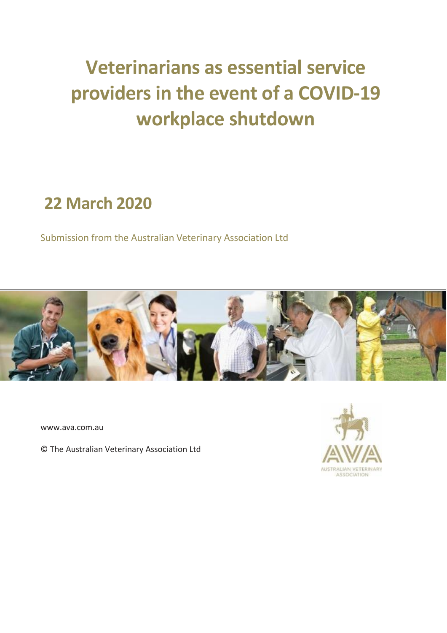# **Veterinarians as essential service providers in the event of a COVID-19 workplace shutdown**

## **22 March 2020**

Submission from the Australian Veterinary Association Ltd



www.ava.com.au

© The Australian Veterinary Association Ltd

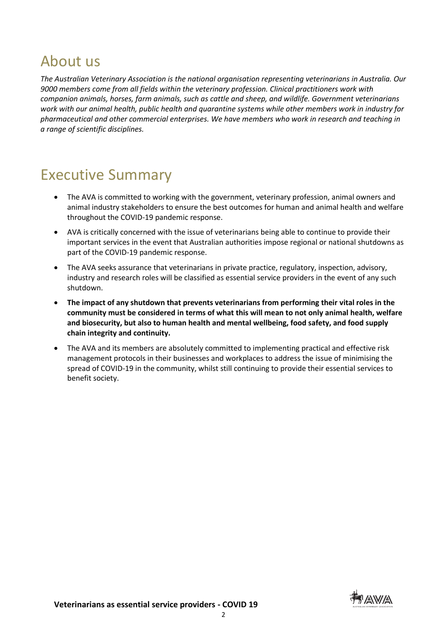## About us

*The Australian Veterinary Association is the national organisation representing veterinarians in Australia. Our 9000 members come from all fields within the veterinary profession. Clinical practitioners work with companion animals, horses, farm animals, such as cattle and sheep, and wildlife. Government veterinarians work with our animal health, public health and quarantine systems while other members work in industry for pharmaceutical and other commercial enterprises. We have members who work in research and teaching in a range of scientific disciplines.*

## Executive Summary

- The AVA is committed to working with the government, veterinary profession, animal owners and animal industry stakeholders to ensure the best outcomes for human and animal health and welfare throughout the COVID-19 pandemic response.
- AVA is critically concerned with the issue of veterinarians being able to continue to provide their important services in the event that Australian authorities impose regional or national shutdowns as part of the COVID-19 pandemic response.
- The AVA seeks assurance that veterinarians in private practice, regulatory, inspection, advisory, industry and research roles will be classified as essential service providers in the event of any such shutdown.
- **The impact of any shutdown that prevents veterinarians from performing their vital roles in the community must be considered in terms of what this will mean to not only animal health, welfare and biosecurity, but also to human health and mental wellbeing, food safety, and food supply chain integrity and continuity.**
- The AVA and its members are absolutely committed to implementing practical and effective risk management protocols in their businesses and workplaces to address the issue of minimising the spread of COVID-19 in the community, whilst still continuing to provide their essential services to benefit society.

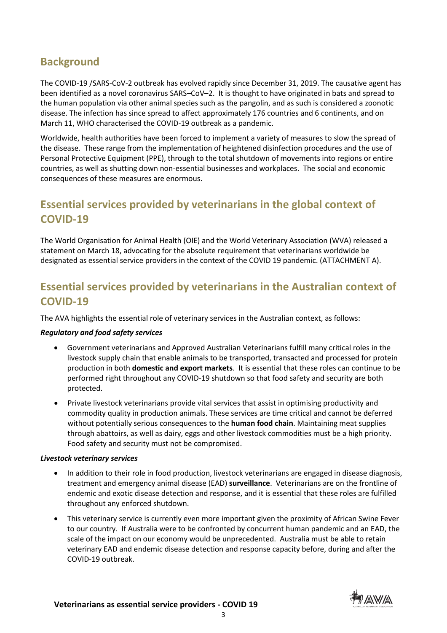## **Background**

The COVID-19 /SARS-CoV-2 outbreak has evolved rapidly since December 31, 2019. The causative agent has been identified as a novel coronavirus SARS–CoV–2. It is thought to have originated in bats and spread to the human population via other animal species such as the pangolin, and as such is considered a zoonotic disease. The infection has since spread to affect approximately 176 countries and 6 continents, and on March 11, WHO characterised the COVID-19 outbreak as a pandemic.

Worldwide, health authorities have been forced to implement a variety of measures to slow the spread of the disease. These range from the implementation of heightened disinfection procedures and the use of Personal Protective Equipment (PPE), through to the total shutdown of movements into regions or entire countries, as well as shutting down non-essential businesses and workplaces. The social and economic consequences of these measures are enormous.

## **Essential services provided by veterinarians in the global context of COVID-19**

The World Organisation for Animal Health (OIE) and the World Veterinary Association (WVA) released a statement on March 18, advocating for the absolute requirement that veterinarians worldwide be designated as essential service providers in the context of the COVID 19 pandemic. (ATTACHMENT A).

## **Essential services provided by veterinarians in the Australian context of COVID-19**

The AVA highlights the essential role of veterinary services in the Australian context, as follows:

#### *Regulatory and food safety services*

- Government veterinarians and Approved Australian Veterinarians fulfill many critical roles in the livestock supply chain that enable animals to be transported, transacted and processed for protein production in both **domestic and export markets**. It is essential that these roles can continue to be performed right throughout any COVID-19 shutdown so that food safety and security are both protected.
- Private livestock veterinarians provide vital services that assist in optimising productivity and commodity quality in production animals. These services are time critical and cannot be deferred without potentially serious consequences to the **human food chain**. Maintaining meat supplies through abattoirs, as well as dairy, eggs and other livestock commodities must be a high priority. Food safety and security must not be compromised.

#### *Livestock veterinary services*

- In addition to their role in food production, livestock veterinarians are engaged in disease diagnosis, treatment and emergency animal disease (EAD) **surveillance**. Veterinarians are on the frontline of endemic and exotic disease detection and response, and it is essential that these roles are fulfilled throughout any enforced shutdown.
- This veterinary service is currently even more important given the proximity of African Swine Fever to our country. If Australia were to be confronted by concurrent human pandemic and an EAD, the scale of the impact on our economy would be unprecedented. Australia must be able to retain veterinary EAD and endemic disease detection and response capacity before, during and after the COVID-19 outbreak.



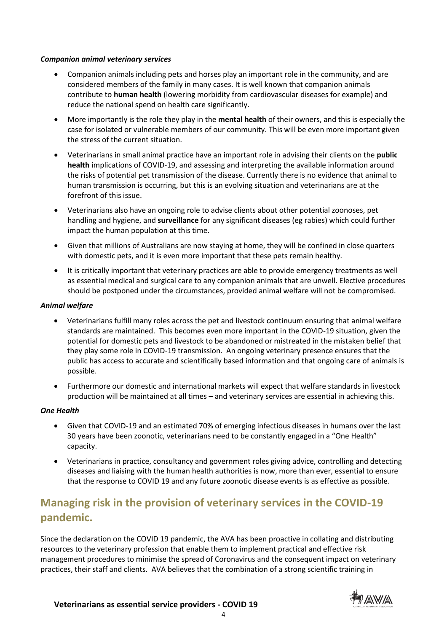#### *Companion animal veterinary services*

- Companion animals including pets and horses play an important role in the community, and are considered members of the family in many cases. It is well known that companion animals contribute to **human health** (lowering morbidity from cardiovascular diseases for example) and reduce the national spend on health care significantly.
- More importantly is the role they play in the **mental health** of their owners, and this is especially the case for isolated or vulnerable members of our community. This will be even more important given the stress of the current situation.
- Veterinarians in small animal practice have an important role in advising their clients on the **public health** implications of COVID-19, and assessing and interpreting the available information around the risks of potential pet transmission of the disease. Currently there is no evidence that animal to human transmission is occurring, but this is an evolving situation and veterinarians are at the forefront of this issue.
- Veterinarians also have an ongoing role to advise clients about other potential zoonoses, pet handling and hygiene, and **surveillance** for any significant diseases (eg rabies) which could further impact the human population at this time.
- Given that millions of Australians are now staying at home, they will be confined in close quarters with domestic pets, and it is even more important that these pets remain healthy.
- It is critically important that veterinary practices are able to provide emergency treatments as well as essential medical and surgical care to any companion animals that are unwell. Elective procedures should be postponed under the circumstances, provided animal welfare will not be compromised.

#### *Animal welfare*

- Veterinarians fulfill many roles across the pet and livestock continuum ensuring that animal welfare standards are maintained. This becomes even more important in the COVID-19 situation, given the potential for domestic pets and livestock to be abandoned or mistreated in the mistaken belief that they play some role in COVID-19 transmission. An ongoing veterinary presence ensures that the public has access to accurate and scientifically based information and that ongoing care of animals is possible.
- Furthermore our domestic and international markets will expect that welfare standards in livestock production will be maintained at all times – and veterinary services are essential in achieving this.

#### *One Health*

- Given that COVID-19 and an estimated 70% of emerging infectious diseases in humans over the last 30 years have been zoonotic, veterinarians need to be constantly engaged in a "One Health" capacity.
- Veterinarians in practice, consultancy and government roles giving advice, controlling and detecting diseases and liaising with the human health authorities is now, more than ever, essential to ensure that the response to COVID 19 and any future zoonotic disease events is as effective as possible.

## **Managing risk in the provision of veterinary services in the COVID-19 pandemic.**

Since the declaration on the COVID 19 pandemic, the AVA has been proactive in collating and distributing resources to the veterinary profession that enable them to implement practical and effective risk management procedures to minimise the spread of Coronavirus and the consequent impact on veterinary practices, their staff and clients. AVA believes that the combination of a strong scientific training in

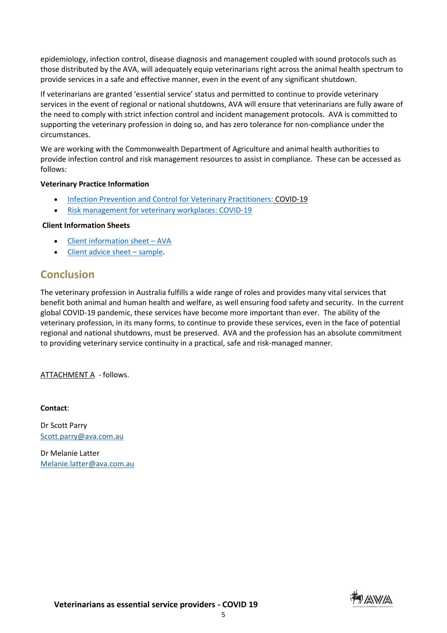epidemiology, infection control, disease diagnosis and management coupled with sound protocols such as those distributed by the AVA, will adequately equip veterinarians right across the animal health spectrum to provide services in a safe and effective manner, even in the event of any significant shutdown.

If veterinarians are granted 'essential service' status and permitted to continue to provide veterinary services in the event of regional or national shutdowns, AVA will ensure that veterinarians are fully aware of the need to comply with strict infection control and incident management protocols. AVA is committed to supporting the veterinary profession in doing so, and has zero tolerance for non-compliance under the circumstances.

We are working with the Commonwealth Department of Agriculture and animal health authorities to provide infection control and risk management resources to assist in compliance. These can be accessed as follows:

#### **Veterinary Practice Information**

- [Infection Prevention and Control for Veterinary Practitioners:](https://us-east-2.protection.sophos.com/?d=ava.com.au&u=aHR0cDovL2xpbmsuYXZhLmNvbS5hdS9jLzYvP1Q9TlRnMk5UWTRNekElM0FNREl0WWpJd01EYzNMVGszWldFMU5XSmxNRFJqTWpSa01HSTVPR0ZoT1dRM04yVTBNbVZrWVdFdyUzQWJXVnNZVzVwWlM1c1lYUjBaWEpBWVhaaExtTnZiUzVoZFElM0FZMjl1ZEdGamRDMDNObVV5TmpNME56ZzNOamhsT1RFeFlUZ3lNREF3TUdRellXUXdZVFUxWlMwMU5XVmpNVFU0TldReVlXSTBaVEF3T1dJM016QmtOR1E0TlRSa1pUZ3pNQSUzQVptRnNjMlUlM0FOQSUzQSUzQWFIUjBjSE02THk5M2QzY3VZWFpoTG1OdmJTNWhkUzlqYjNKdmJtRjJhWEoxY3k5cGJtWmxZM1JwYjI0dGNISmxkbVZ1ZEdsdmJpMTJaWFJsY21sdVlYSjVMWEJ5WVdOMGFYUnBiMjVsY25NdlAxOWpiR1JsWlQxaVYxWnpXVmMxY0ZwVE5YTlpXRkl3V2xoS1FWbFlXbWhNYlU1MllsTTFhR1JSSlROa0pUTmtKbkpsWTJsd2FXVnVkR2xrUFdOdmJuUmhZM1F0TnpabE1qWXpORGM0TnpZNFpUa3hNV0U0TWpBd01EQmtNMkZrTUdFMU5XVXROVFZsWXpFMU9EVmtNbUZpTkdVd01EbGlOek13WkRSa09EVTBaR1U0TXpBbVpYTnBaRDFoWXpNM1lURmxOaTB4T0RZNExXVmhNVEV0WVRneVlpMHdNREJrTTJGa01XSXdOak0mSz1tcWNkVlJNT091ei0tSmo0ejlWUWJB&e=bWVsYW5pZS5sYXR0ZXJAYXZhLmNvbS5hdQ==&h=7b87eab5902449aea158d2b2b7fcbe6a&t=WDAxRGdYOUhXNndqOUVoanZRMTQrTGJpZ3JBenN3ZStsSXJzSzRmaW9Laz0=) COVID-19
- [Risk management for veterinary workplaces: COVID-19](https://us-east-2.protection.sophos.com/?d=ava.com.au&u=aHR0cDovL2xpbmsuYXZhLmNvbS5hdS9jLzYvP1Q9TlRnMk5UWTRNekElM0FNREl0WWpJd01EYzNMVGszWldFMU5XSmxNRFJqTWpSa01HSTVPR0ZoT1dRM04yVTBNbVZrWVdFdyUzQWJXVnNZVzVwWlM1c1lYUjBaWEpBWVhaaExtTnZiUzVoZFElM0FZMjl1ZEdGamRDMDNObVV5TmpNME56ZzNOamhsT1RFeFlUZ3lNREF3TUdRellXUXdZVFUxWlMwMU5XVmpNVFU0TldReVlXSTBaVEF3T1dJM016QmtOR1E0TlRSa1pUZ3pNQSUzQVptRnNjMlUlM0FOUSUzQSUzQWFIUjBjSE02THk5M2QzY3VZWFpoTG1OdmJTNWhkUzlqYjNKdmJtRjJhWEoxY3k5eWFYTnJMVzFoYm1GblpXMWxiblF0Wm05eUxYWmxkR1Z5YVc1aGNua3RkMjl5YTNCc1lXTmxjeTFqYjNacFpDMHhPUzhfWDJOc1pHVmxQV0pYVm5OWlZ6VndXbE0xYzFsWVVqQmFXRXBCV1ZoYWFFeHRUblppVXpWb1pGRWxNMlFsTTJRbWNtVmphWEJwWlc1MGFXUTlZMjl1ZEdGamRDMDNObVV5TmpNME56ZzNOamhsT1RFeFlUZ3lNREF3TUdRellXUXdZVFUxWlMwMU5XVmpNVFU0TldReVlXSTBaVEF3T1dJM016QmtOR1E0TlRSa1pUZ3pNQ1psYzJsa1BXRmpNemRoTVdVMkxURTROamd0WldFeE1TMWhPREppTFRBd01HUXpZV1F4WWpBMk13Jks9bnZjT3lGZkVSSW5KSlFiLWpRMkpHQQ==&e=bWVsYW5pZS5sYXR0ZXJAYXZhLmNvbS5hdQ==&h=7b87eab5902449aea158d2b2b7fcbe6a&t=WE5vMW1jTDFUSElLazFUeHFDaFhMK250eFVrY1dOYnJDVjB2TjZBWnNrZz0=)

#### **Client Information Sheets**

- [Client information sheet](https://us-east-2.protection.sophos.com/?d=ava.com.au&u=aHR0cDovL2xpbmsuYXZhLmNvbS5hdS9jLzYvP1Q9TlRnMk5UWTRNekElM0FNREl0WWpJd01EYzNMVGszWldFMU5XSmxNRFJqTWpSa01HSTVPR0ZoT1dRM04yVTBNbVZrWVdFdyUzQWJXVnNZVzVwWlM1c1lYUjBaWEpBWVhaaExtTnZiUzVoZFElM0FZMjl1ZEdGamRDMDNObVV5TmpNME56ZzNOamhsT1RFeFlUZ3lNREF3TUdRellXUXdZVFUxWlMwMU5XVmpNVFU0TldReVlXSTBaVEF3T1dJM016QmtOR1E0TlRSa1pUZ3pNQSUzQVptRnNjMlUlM0FOZyUzQSUzQWFIUjBjSE02THk5M2QzY3VZWFpoTG1OdmJTNWhkUzl6YVhSbFlYTnpaWFJ6TDNKbGMyOTFjbU5sY3k5amIzSnZibUYyYVhKMWN5OXBibVp2Y20xaGRHbHZiaTF6YUdWbGRDMHRMV052ZG1sa0xURTVMV0Z1WkMxamIyMXdZVzVwYjI0dFlXNXBiV0ZzY3k1d1pHWV9YMk5zWkdWbFBXSlhWbk5aVnpWd1dsTTFjMWxZVWpCYVdFcEJXVmhhYUV4dFRuWmlVelZvWkZFbE0yUWxNMlFtY21WamFYQnBaVzUwYVdROVkyOXVkR0ZqZEMwM05tVXlOak0wTnpnM05qaGxPVEV4WVRneU1EQXdNR1F6WVdRd1lUVTFaUzAxTldWak1UVTROV1F5WVdJMFpUQXdPV0kzTXpCa05HUTROVFJrWlRnek1DWmxjMmxrUFdGak16ZGhNV1UyTFRFNE5qZ3RaV0V4TVMxaE9ESmlMVEF3TUdRellXUXhZakEyTXcmSz1Ed2ZlWGdTSVdpUDhaZDhqX1phQkdB&e=bWVsYW5pZS5sYXR0ZXJAYXZhLmNvbS5hdQ==&h=7b87eab5902449aea158d2b2b7fcbe6a&t=aldnc2NibllHR2cwRkYxMXdtSWdLeGF1RG5hQ1RJSjhGNndRQmZIWWJPUT0=) AVA
- [Client advice sheet](https://us-east-2.protection.sophos.com/?d=ava.com.au&u=aHR0cDovL2xpbmsuYXZhLmNvbS5hdS9jLzYvP1Q9TlRnMk5UWTRNekElM0FNREl0WWpJd01EYzNMVGszWldFMU5XSmxNRFJqTWpSa01HSTVPR0ZoT1dRM04yVTBNbVZrWVdFdyUzQWJXVnNZVzVwWlM1c1lYUjBaWEpBWVhaaExtTnZiUzVoZFElM0FZMjl1ZEdGamRDMDNObVV5TmpNME56ZzNOamhsT1RFeFlUZ3lNREF3TUdRellXUXdZVFUxWlMwMU5XVmpNVFU0TldReVlXSTBaVEF3T1dJM016QmtOR1E0TlRSa1pUZ3pNQSUzQVptRnNjMlUlM0FOdyUzQSUzQWFIUjBjSE02THk5M2QzY3VZWFpoTG1OdmJTNWhkUzl6YVhSbFlYTnpaWFJ6TDNKbGMyOTFjbU5sY3k5amIzSnZibUYyYVhKMWN5OXBibVp2Y20xaGRHbHZiaTF6YUdWbGRDMHRMV052ZG1sa0xURTVMV0Z1WkMxamIyMXdZVzVwYjI0dFlXNXBiV0ZzY3k1d1pHWV9YMk5zWkdWbFBXSlhWbk5aVnpWd1dsTTFjMWxZVWpCYVdFcEJXVmhhYUV4dFRuWmlVelZvWkZFbE0yUWxNMlFtY21WamFYQnBaVzUwYVdROVkyOXVkR0ZqZEMwM05tVXlOak0wTnpnM05qaGxPVEV4WVRneU1EQXdNR1F6WVdRd1lUVTFaUzAxTldWak1UVTROV1F5WVdJMFpUQXdPV0kzTXpCa05HUTROVFJrWlRnek1DWmxjMmxrUFdGak16ZGhNV1UyTFRFNE5qZ3RaV0V4TVMxaE9ESmlMVEF3TUdRellXUXhZakEyTXcmSz16YUNYMDU1MjdBMTIwR2ZFN0lINXRR&e=bWVsYW5pZS5sYXR0ZXJAYXZhLmNvbS5hdQ==&h=7b87eab5902449aea158d2b2b7fcbe6a&t=RmtOektaVUhEczZnQUwvcXRidkYzTTU0UmZWRXIzdUFZMVRSWXN1ZnI5VT0=)  sample.

### **Conclusion**

The veterinary profession in Australia fulfills a wide range of roles and provides many vital services that benefit both animal and human health and welfare, as well ensuring food safety and security. In the current global COVID-19 pandemic, these services have become more important than ever. The ability of the veterinary profession, in its many forms, to continue to provide these services, even in the face of potential regional and national shutdowns, must be preserved. AVA and the profession has an absolute commitment to providing veterinary service continuity in a practical, safe and risk-managed manner.

ATTACHMENT A - follows.

#### **Contact**:

Dr Scott Parry [Scott.parry@ava.com.au](mailto:Scott.parry@ava.com.au)

Dr Melanie Latter [Melanie.latter@ava.com.au](mailto:Melanie.latter@ava.com.au)